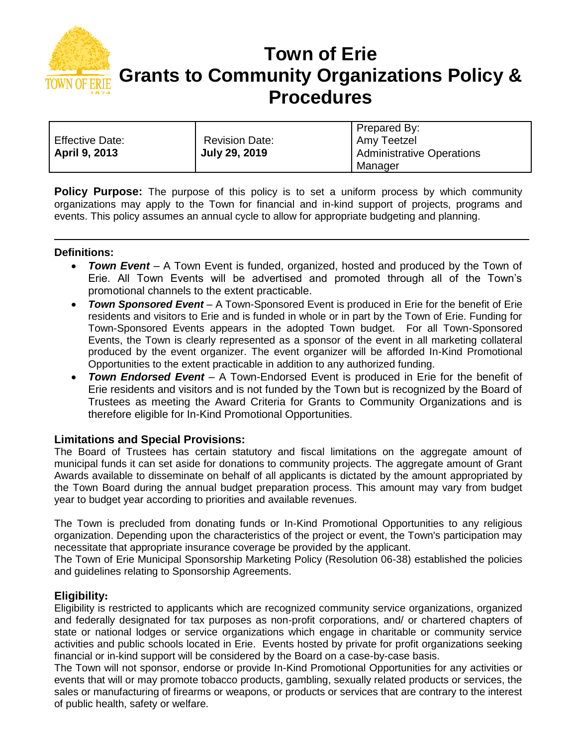

# **Town of Erie Grants to Community Organizations Policy & Procedures**

|                        |                       | Prepared By:                     |
|------------------------|-----------------------|----------------------------------|
| <b>Effective Date:</b> | <b>Revision Date:</b> | Amy Teetzel                      |
| <b>April 9, 2013</b>   | <b>July 29, 2019</b>  | <b>Administrative Operations</b> |
|                        |                       | Manager                          |

**Policy Purpose:** The purpose of this policy is to set a uniform process by which community organizations may apply to the Town for financial and in-kind support of projects, programs and events. This policy assumes an annual cycle to allow for appropriate budgeting and planning.

# **Definitions:**

- *Town Event* A Town Event is funded, organized, hosted and produced by the Town of Erie. All Town Events will be advertised and promoted through all of the Town's promotional channels to the extent practicable.
- *Town Sponsored Event* A Town-Sponsored Event is produced in Erie for the benefit of Erie residents and visitors to Erie and is funded in whole or in part by the Town of Erie. Funding for Town-Sponsored Events appears in the adopted Town budget. For all Town-Sponsored Events, the Town is clearly represented as a sponsor of the event in all marketing collateral produced by the event organizer. The event organizer will be afforded In-Kind Promotional Opportunities to the extent practicable in addition to any authorized funding.
- *Town Endorsed Event*  A Town-Endorsed Event is produced in Erie for the benefit of Erie residents and visitors and is not funded by the Town but is recognized by the Board of Trustees as meeting the Award Criteria for Grants to Community Organizations and is therefore eligible for In-Kind Promotional Opportunities.

## **Limitations and Special Provisions:**

The Board of Trustees has certain statutory and fiscal limitations on the aggregate amount of municipal funds it can set aside for donations to community projects. The aggregate amount of Grant Awards available to disseminate on behalf of all applicants is dictated by the amount appropriated by the Town Board during the annual budget preparation process. This amount may vary from budget year to budget year according to priorities and available revenues.

The Town is precluded from donating funds or In-Kind Promotional Opportunities to any religious organization. Depending upon the characteristics of the project or event, the Town's participation may necessitate that appropriate insurance coverage be provided by the applicant.

The Town of Erie Municipal Sponsorship Marketing Policy (Resolution 06-38) established the policies and guidelines relating to Sponsorship Agreements.

#### **Eligibility:**

Eligibility is restricted to applicants which are recognized community service organizations, organized and federally designated for tax purposes as non-profit corporations, and/ or chartered chapters of state or national lodges or service organizations which engage in charitable or community service activities and public schools located in Erie. Events hosted by private for profit organizations seeking financial or in-kind support will be considered by the Board on a case-by-case basis.

The Town will not sponsor, endorse or provide In-Kind Promotional Opportunities for any activities or events that will or may promote tobacco products, gambling, sexually related products or services, the sales or manufacturing of firearms or weapons, or products or services that are contrary to the interest of public health, safety or welfare.